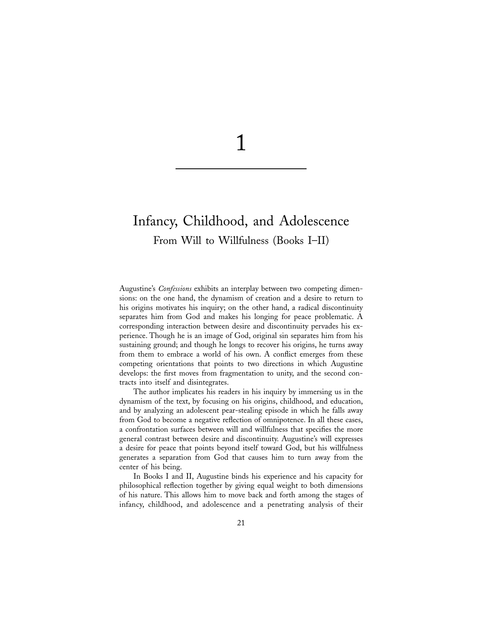## Infancy, Childhood, and Adolescence From Will to Willfulness (Books I–II)

Augustine's *Confessions* exhibits an interplay between two competing dimensions: on the one hand, the dynamism of creation and a desire to return to his origins motivates his inquiry; on the other hand, a radical discontinuity separates him from God and makes his longing for peace problematic. A corresponding interaction between desire and discontinuity pervades his experience. Though he is an image of God, original sin separates him from his sustaining ground; and though he longs to recover his origins, he turns away from them to embrace a world of his own. A conflict emerges from these competing orientations that points to two directions in which Augustine develops: the first moves from fragmentation to unity, and the second contracts into itself and disintegrates.

The author implicates his readers in his inquiry by immersing us in the dynamism of the text, by focusing on his origins, childhood, and education, and by analyzing an adolescent pear-stealing episode in which he falls away from God to become a negative reflection of omnipotence. In all these cases, a confrontation surfaces between will and willfulness that specifies the more general contrast between desire and discontinuity. Augustine's will expresses a desire for peace that points beyond itself toward God, but his willfulness generates a separation from God that causes him to turn away from the center of his being.

In Books I and II, Augustine binds his experience and his capacity for philosophical reflection together by giving equal weight to both dimensions of his nature. This allows him to move back and forth among the stages of infancy, childhood, and adolescence and a penetrating analysis of their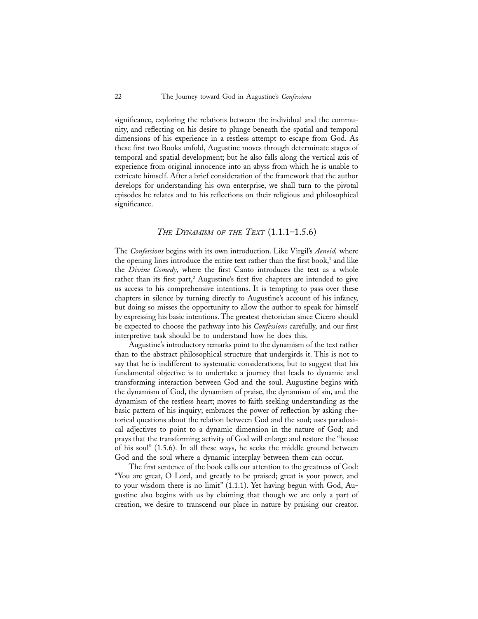significance, exploring the relations between the individual and the community, and reflecting on his desire to plunge beneath the spatial and temporal dimensions of his experience in a restless attempt to escape from God. As these first two Books unfold, Augustine moves through determinate stages of temporal and spatial development; but he also falls along the vertical axis of experience from original innocence into an abyss from which he is unable to extricate himself. After a brief consideration of the framework that the author develops for understanding his own enterprise, we shall turn to the pivotal episodes he relates and to his reflections on their religious and philosophical significance.

## *THE DYNAMISM OF THE TEXT* (1.1.1–1.5.6)

The *Confessions* begins with its own introduction. Like Virgil's *Aeneid,* where the opening lines introduce the entire text rather than the first book, $^{\rm 1}$  and like the *Divine Comedy,* where the first Canto introduces the text as a whole rather than its first part, $^2$  Augustine's first five chapters are intended to give us access to his comprehensive intentions. It is tempting to pass over these chapters in silence by turning directly to Augustine's account of his infancy, but doing so misses the opportunity to allow the author to speak for himself by expressing his basic intentions. The greatest rhetorician since Cicero should be expected to choose the pathway into his *Confessions* carefully, and our first interpretive task should be to understand how he does this.

Augustine's introductory remarks point to the dynamism of the text rather than to the abstract philosophical structure that undergirds it. This is not to say that he is indifferent to systematic considerations, but to suggest that his fundamental objective is to undertake a journey that leads to dynamic and transforming interaction between God and the soul. Augustine begins with the dynamism of God, the dynamism of praise, the dynamism of sin, and the dynamism of the restless heart; moves to faith seeking understanding as the basic pattern of his inquiry; embraces the power of reflection by asking rhetorical questions about the relation between God and the soul; uses paradoxical adjectives to point to a dynamic dimension in the nature of God; and prays that the transforming activity of God will enlarge and restore the "house of his soul" (1.5.6). In all these ways, he seeks the middle ground between God and the soul where a dynamic interplay between them can occur.

The first sentence of the book calls our attention to the greatness of God: "You are great, O Lord, and greatly to be praised; great is your power, and to your wisdom there is no limit" (1.1.1). Yet having begun with God, Augustine also begins with us by claiming that though we are only a part of creation, we desire to transcend our place in nature by praising our creator.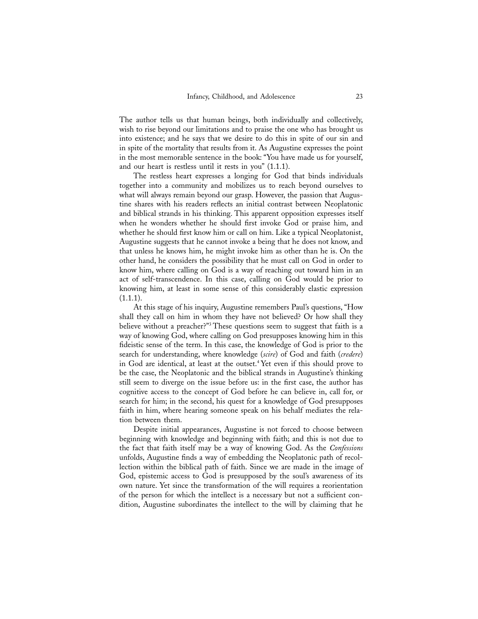The author tells us that human beings, both individually and collectively, wish to rise beyond our limitations and to praise the one who has brought us into existence; and he says that we desire to do this in spite of our sin and in spite of the mortality that results from it. As Augustine expresses the point in the most memorable sentence in the book: "You have made us for yourself, and our heart is restless until it rests in you" (1.1.1).

The restless heart expresses a longing for God that binds individuals together into a community and mobilizes us to reach beyond ourselves to what will always remain beyond our grasp. However, the passion that Augustine shares with his readers reflects an initial contrast between Neoplatonic and biblical strands in his thinking. This apparent opposition expresses itself when he wonders whether he should first invoke God or praise him, and whether he should first know him or call on him. Like a typical Neoplatonist, Augustine suggests that he cannot invoke a being that he does not know, and that unless he knows him, he might invoke him as other than he is. On the other hand, he considers the possibility that he must call on God in order to know him, where calling on God is a way of reaching out toward him in an act of self-transcendence. In this case, calling on God would be prior to knowing him, at least in some sense of this considerably elastic expression  $(1.1.1).$ 

At this stage of his inquiry, Augustine remembers Paul's questions, "How shall they call on him in whom they have not believed? Or how shall they believe without a preacher?"3 These questions seem to suggest that faith is a way of knowing God, where calling on God presupposes knowing him in this fideistic sense of the term. In this case, the knowledge of God is prior to the search for understanding, where knowledge (*scire*) of God and faith (*credere*) in God are identical, at least at the outset.4 Yet even if this should prove to be the case, the Neoplatonic and the biblical strands in Augustine's thinking still seem to diverge on the issue before us: in the first case, the author has cognitive access to the concept of God before he can believe in, call for, or search for him; in the second, his quest for a knowledge of God presupposes faith in him, where hearing someone speak on his behalf mediates the relation between them.

Despite initial appearances, Augustine is not forced to choose between beginning with knowledge and beginning with faith; and this is not due to the fact that faith itself may be a way of knowing God. As the *Confessions* unfolds, Augustine finds a way of embedding the Neoplatonic path of recollection within the biblical path of faith. Since we are made in the image of God, epistemic access to God is presupposed by the soul's awareness of its own nature. Yet since the transformation of the will requires a reorientation of the person for which the intellect is a necessary but not a sufficient condition, Augustine subordinates the intellect to the will by claiming that he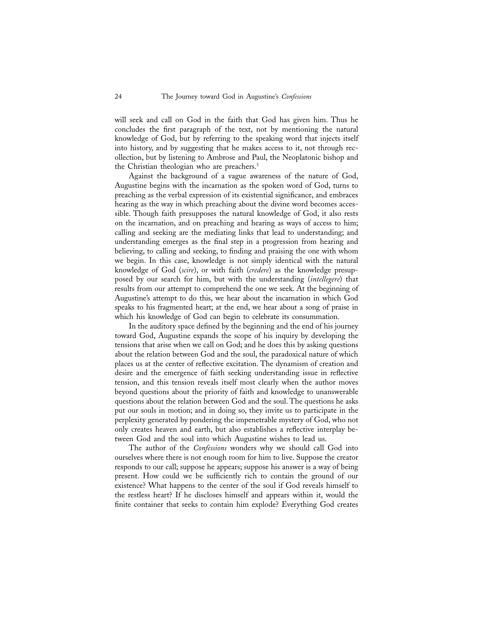will seek and call on God in the faith that God has given him. Thus he concludes the first paragraph of the text, not by mentioning the natural knowledge of God, but by referring to the speaking word that injects itself into history, and by suggesting that he makes access to it, not through recollection, but by listening to Ambrose and Paul, the Neoplatonic bishop and the Christian theologian who are preachers.<sup>5</sup>

Against the background of a vague awareness of the nature of God, Augustine begins with the incarnation as the spoken word of God, turns to preaching as the verbal expression of its existential significance, and embraces hearing as the way in which preaching about the divine word becomes accessible. Though faith presupposes the natural knowledge of God, it also rests on the incarnation, and on preaching and hearing as ways of access to him; calling and seeking are the mediating links that lead to understanding; and understanding emerges as the final step in a progression from hearing and believing, to calling and seeking, to finding and praising the one with whom we begin. In this case, knowledge is not simply identical with the natural knowledge of God (*scire*), or with faith (*credere*) as the knowledge presupposed by our search for him, but with the understanding (*intellegere*) that results from our attempt to comprehend the one we seek. At the beginning of Augustine's attempt to do this, we hear about the incarnation in which God speaks to his fragmented heart; at the end, we hear about a song of praise in which his knowledge of God can begin to celebrate its consummation.

In the auditory space defined by the beginning and the end of his journey toward God, Augustine expands the scope of his inquiry by developing the tensions that arise when we call on God; and he does this by asking questions about the relation between God and the soul, the paradoxical nature of which places us at the center of reflective excitation. The dynamism of creation and desire and the emergence of faith seeking understanding issue in reflective tension, and this tension reveals itself most clearly when the author moves beyond questions about the priority of faith and knowledge to unanswerable questions about the relation between God and the soul. The questions he asks put our souls in motion; and in doing so, they invite us to participate in the perplexity generated by pondering the impenetrable mystery of God, who not only creates heaven and earth, but also establishes a reflective interplay between God and the soul into which Augustine wishes to lead us.

The author of the *Confessions* wonders why we should call God into ourselves where there is not enough room for him to live. Suppose the creator responds to our call; suppose he appears; suppose his answer is a way of being present. How could we be sufficiently rich to contain the ground of our existence? What happens to the center of the soul if God reveals himself to the restless heart? If he discloses himself and appears within it, would the finite container that seeks to contain him explode? Everything God creates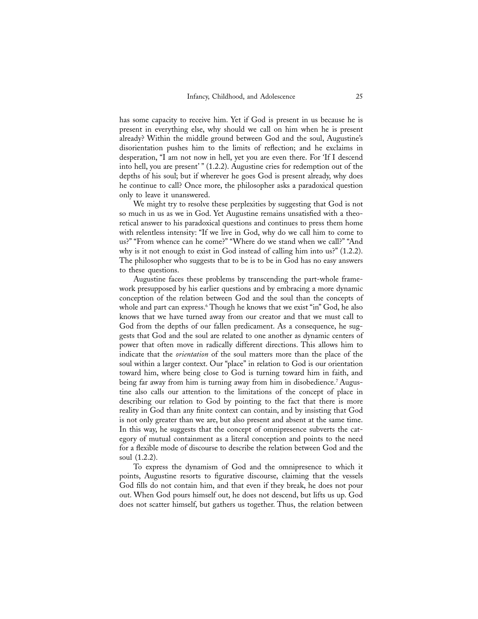has some capacity to receive him. Yet if God is present in us because he is present in everything else, why should we call on him when he is present already? Within the middle ground between God and the soul, Augustine's disorientation pushes him to the limits of reflection; and he exclaims in desperation, "I am not now in hell, yet you are even there. For 'If I descend into hell, you are present' " (1.2.2). Augustine cries for redemption out of the depths of his soul; but if wherever he goes God is present already, why does he continue to call? Once more, the philosopher asks a paradoxical question only to leave it unanswered.

We might try to resolve these perplexities by suggesting that God is not so much in us as we in God. Yet Augustine remains unsatisfied with a theoretical answer to his paradoxical questions and continues to press them home with relentless intensity: "If we live in God, why do we call him to come to us?" "From whence can he come?" "Where do we stand when we call?" "And why is it not enough to exist in God instead of calling him into us?" (1.2.2). The philosopher who suggests that to be is to be in God has no easy answers to these questions.

Augustine faces these problems by transcending the part-whole framework presupposed by his earlier questions and by embracing a more dynamic conception of the relation between God and the soul than the concepts of whole and part can express.6 Though he knows that we exist "in" God, he also knows that we have turned away from our creator and that we must call to God from the depths of our fallen predicament. As a consequence, he suggests that God and the soul are related to one another as dynamic centers of power that often move in radically different directions. This allows him to indicate that the *orientation* of the soul matters more than the place of the soul within a larger context. Our "place" in relation to God is our orientation toward him, where being close to God is turning toward him in faith, and being far away from him is turning away from him in disobedience.7 Augustine also calls our attention to the limitations of the concept of place in describing our relation to God by pointing to the fact that there is more reality in God than any finite context can contain, and by insisting that God is not only greater than we are, but also present and absent at the same time. In this way, he suggests that the concept of omnipresence subverts the category of mutual containment as a literal conception and points to the need for a flexible mode of discourse to describe the relation between God and the soul (1.2.2).

To express the dynamism of God and the omnipresence to which it points, Augustine resorts to figurative discourse, claiming that the vessels God fills do not contain him, and that even if they break, he does not pour out. When God pours himself out, he does not descend, but lifts us up. God does not scatter himself, but gathers us together. Thus, the relation between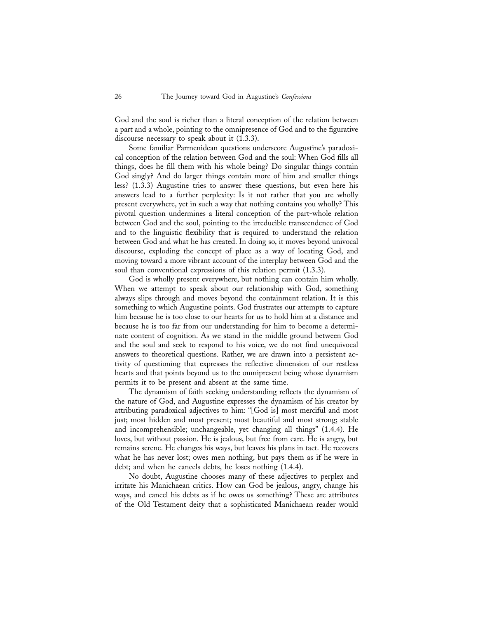God and the soul is richer than a literal conception of the relation between a part and a whole, pointing to the omnipresence of God and to the figurative discourse necessary to speak about it (1.3.3).

Some familiar Parmenidean questions underscore Augustine's paradoxical conception of the relation between God and the soul: When God fills all things, does he fill them with his whole being? Do singular things contain God singly? And do larger things contain more of him and smaller things less? (1.3.3) Augustine tries to answer these questions, but even here his answers lead to a further perplexity: Is it not rather that you are wholly present everywhere, yet in such a way that nothing contains you wholly? This pivotal question undermines a literal conception of the part-whole relation between God and the soul, pointing to the irreducible transcendence of God and to the linguistic flexibility that is required to understand the relation between God and what he has created. In doing so, it moves beyond univocal discourse, exploding the concept of place as a way of locating God, and moving toward a more vibrant account of the interplay between God and the soul than conventional expressions of this relation permit (1.3.3).

God is wholly present everywhere, but nothing can contain him wholly. When we attempt to speak about our relationship with God, something always slips through and moves beyond the containment relation. It is this something to which Augustine points. God frustrates our attempts to capture him because he is too close to our hearts for us to hold him at a distance and because he is too far from our understanding for him to become a determinate content of cognition. As we stand in the middle ground between God and the soul and seek to respond to his voice, we do not find unequivocal answers to theoretical questions. Rather, we are drawn into a persistent activity of questioning that expresses the reflective dimension of our restless hearts and that points beyond us to the omnipresent being whose dynamism permits it to be present and absent at the same time.

The dynamism of faith seeking understanding reflects the dynamism of the nature of God, and Augustine expresses the dynamism of his creator by attributing paradoxical adjectives to him: "[God is] most merciful and most just; most hidden and most present; most beautiful and most strong; stable and incomprehensible; unchangeable, yet changing all things" (1.4.4). He loves, but without passion. He is jealous, but free from care. He is angry, but remains serene. He changes his ways, but leaves his plans in tact. He recovers what he has never lost; owes men nothing, but pays them as if he were in debt; and when he cancels debts, he loses nothing (1.4.4).

No doubt, Augustine chooses many of these adjectives to perplex and irritate his Manichaean critics. How can God be jealous, angry, change his ways, and cancel his debts as if he owes us something? These are attributes of the Old Testament deity that a sophisticated Manichaean reader would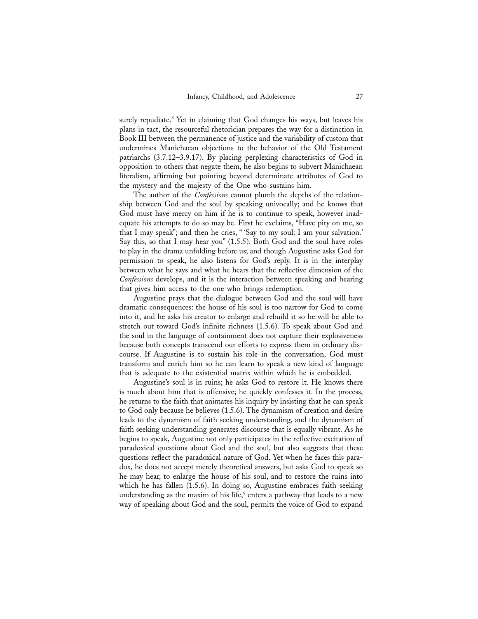surely repudiate.8 Yet in claiming that God changes his ways, but leaves his plans in tact, the resourceful rhetorician prepares the way for a distinction in Book III between the permanence of justice and the variability of custom that undermines Manichaean objections to the behavior of the Old Testament patriarchs (3.7.12–3.9.17). By placing perplexing characteristics of God in opposition to others that negate them, he also begins to subvert Manichaean literalism, affirming but pointing beyond determinate attributes of God to the mystery and the majesty of the One who sustains him.

The author of the *Confessions* cannot plumb the depths of the relationship between God and the soul by speaking univocally; and he knows that God must have mercy on him if he is to continue to speak, however inadequate his attempts to do so may be. First he exclaims, "Have pity on me, so that I may speak"; and then he cries, " 'Say to my soul: I am your salvation.' Say this, so that I may hear you" (1.5.5). Both God and the soul have roles to play in the drama unfolding before us; and though Augustine asks God for permission to speak, he also listens for God's reply. It is in the interplay between what he says and what he hears that the reflective dimension of the *Confessions* develops, and it is the interaction between speaking and hearing that gives him access to the one who brings redemption.

Augustine prays that the dialogue between God and the soul will have dramatic consequences: the house of his soul is too narrow for God to come into it, and he asks his creator to enlarge and rebuild it so he will be able to stretch out toward God's infinite richness (1.5.6). To speak about God and the soul in the language of containment does not capture their explosiveness because both concepts transcend our efforts to express them in ordinary discourse. If Augustine is to sustain his role in the conversation, God must transform and enrich him so he can learn to speak a new kind of language that is adequate to the existential matrix within which he is embedded.

Augustine's soul is in ruins; he asks God to restore it. He knows there is much about him that is offensive; he quickly confesses it. In the process, he returns to the faith that animates his inquiry by insisting that he can speak to God only because he believes (1.5.6). The dynamism of creation and desire leads to the dynamism of faith seeking understanding, and the dynamism of faith seeking understanding generates discourse that is equally vibrant. As he begins to speak, Augustine not only participates in the reflective excitation of paradoxical questions about God and the soul, but also suggests that these questions reflect the paradoxical nature of God. Yet when he faces this paradox, he does not accept merely theoretical answers, but asks God to speak so he may hear, to enlarge the house of his soul, and to restore the ruins into which he has fallen (1.5.6). In doing so, Augustine embraces faith seeking understanding as the maxim of his life, $^{\circ}$  enters a pathway that leads to a new way of speaking about God and the soul, permits the voice of God to expand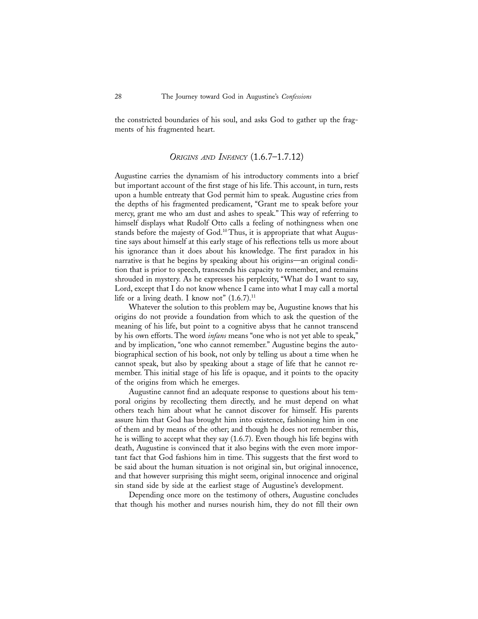the constricted boundaries of his soul, and asks God to gather up the fragments of his fragmented heart.

## *ORIGINS AND INFANCY* (1.6.7–1.7.12)

Augustine carries the dynamism of his introductory comments into a brief but important account of the first stage of his life. This account, in turn, rests upon a humble entreaty that God permit him to speak. Augustine cries from the depths of his fragmented predicament, "Grant me to speak before your mercy, grant me who am dust and ashes to speak." This way of referring to himself displays what Rudolf Otto calls a feeling of nothingness when one stands before the majesty of God.<sup>10</sup> Thus, it is appropriate that what Augustine says about himself at this early stage of his reflections tells us more about his ignorance than it does about his knowledge. The first paradox in his narrative is that he begins by speaking about his origins—an original condition that is prior to speech, transcends his capacity to remember, and remains shrouded in mystery. As he expresses his perplexity, "What do I want to say, Lord, except that I do not know whence I came into what I may call a mortal life or a living death. I know not"  $(1.6.7).^{11}$ 

Whatever the solution to this problem may be, Augustine knows that his origins do not provide a foundation from which to ask the question of the meaning of his life, but point to a cognitive abyss that he cannot transcend by his own efforts. The word *infans* means "one who is not yet able to speak," and by implication, "one who cannot remember." Augustine begins the autobiographical section of his book, not only by telling us about a time when he cannot speak, but also by speaking about a stage of life that he cannot remember. This initial stage of his life is opaque, and it points to the opacity of the origins from which he emerges.

Augustine cannot find an adequate response to questions about his temporal origins by recollecting them directly, and he must depend on what others teach him about what he cannot discover for himself. His parents assure him that God has brought him into existence, fashioning him in one of them and by means of the other; and though he does not remember this, he is willing to accept what they say (1.6.7). Even though his life begins with death, Augustine is convinced that it also begins with the even more important fact that God fashions him in time. This suggests that the first word to be said about the human situation is not original sin, but original innocence, and that however surprising this might seem, original innocence and original sin stand side by side at the earliest stage of Augustine's development.

Depending once more on the testimony of others, Augustine concludes that though his mother and nurses nourish him, they do not fill their own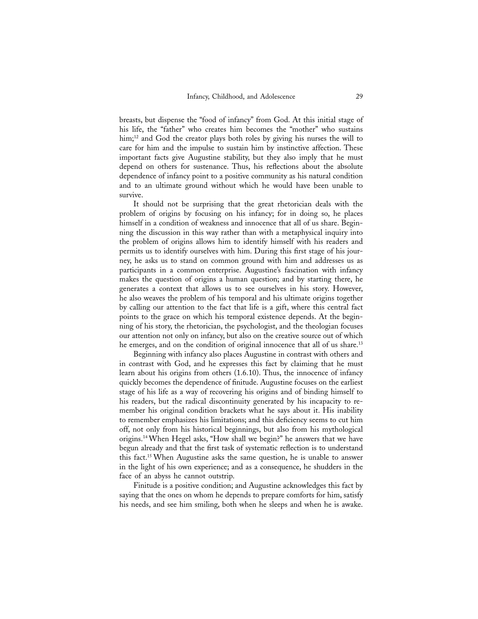breasts, but dispense the "food of infancy" from God. At this initial stage of his life, the "father" who creates him becomes the "mother" who sustains him;<sup>12</sup> and God the creator plays both roles by giving his nurses the will to care for him and the impulse to sustain him by instinctive affection. These important facts give Augustine stability, but they also imply that he must depend on others for sustenance. Thus, his reflections about the absolute dependence of infancy point to a positive community as his natural condition and to an ultimate ground without which he would have been unable to survive.

It should not be surprising that the great rhetorician deals with the problem of origins by focusing on his infancy; for in doing so, he places himself in a condition of weakness and innocence that all of us share. Beginning the discussion in this way rather than with a metaphysical inquiry into the problem of origins allows him to identify himself with his readers and permits us to identify ourselves with him. During this first stage of his journey, he asks us to stand on common ground with him and addresses us as participants in a common enterprise. Augustine's fascination with infancy makes the question of origins a human question; and by starting there, he generates a context that allows us to see ourselves in his story. However, he also weaves the problem of his temporal and his ultimate origins together by calling our attention to the fact that life is a gift, where this central fact points to the grace on which his temporal existence depends. At the beginning of his story, the rhetorician, the psychologist, and the theologian focuses our attention not only on infancy, but also on the creative source out of which he emerges, and on the condition of original innocence that all of us share.<sup>13</sup>

Beginning with infancy also places Augustine in contrast with others and in contrast with God, and he expresses this fact by claiming that he must learn about his origins from others (1.6.10). Thus, the innocence of infancy quickly becomes the dependence of finitude. Augustine focuses on the earliest stage of his life as a way of recovering his origins and of binding himself to his readers, but the radical discontinuity generated by his incapacity to remember his original condition brackets what he says about it. His inability to remember emphasizes his limitations; and this deficiency seems to cut him off, not only from his historical beginnings, but also from his mythological origins.14 When Hegel asks, "How shall we begin?" he answers that we have begun already and that the first task of systematic reflection is to understand this fact.15 When Augustine asks the same question, he is unable to answer in the light of his own experience; and as a consequence, he shudders in the face of an abyss he cannot outstrip.

Finitude is a positive condition; and Augustine acknowledges this fact by saying that the ones on whom he depends to prepare comforts for him, satisfy his needs, and see him smiling, both when he sleeps and when he is awake.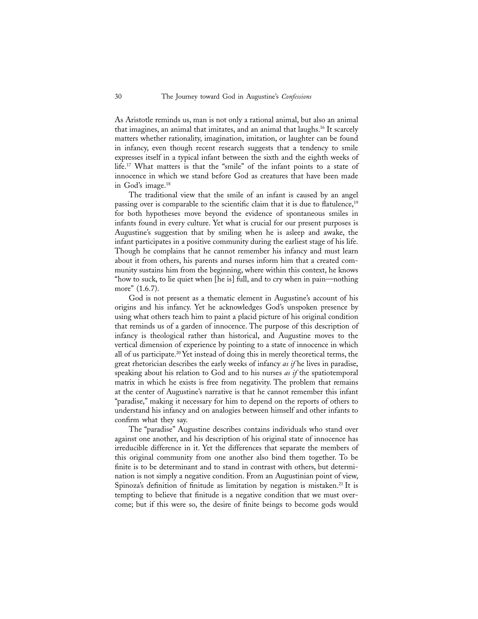As Aristotle reminds us, man is not only a rational animal, but also an animal that imagines, an animal that imitates, and an animal that laughs.<sup>16</sup> It scarcely matters whether rationality, imagination, imitation, or laughter can be found in infancy, even though recent research suggests that a tendency to smile expresses itself in a typical infant between the sixth and the eighth weeks of life.17 What matters is that the "smile" of the infant points to a state of innocence in which we stand before God as creatures that have been made in God's image.18

The traditional view that the smile of an infant is caused by an angel passing over is comparable to the scientific claim that it is due to flatulence,<sup>19</sup> for both hypotheses move beyond the evidence of spontaneous smiles in infants found in every culture. Yet what is crucial for our present purposes is Augustine's suggestion that by smiling when he is asleep and awake, the infant participates in a positive community during the earliest stage of his life. Though he complains that he cannot remember his infancy and must learn about it from others, his parents and nurses inform him that a created community sustains him from the beginning, where within this context, he knows "how to suck, to lie quiet when [he is] full, and to cry when in pain—nothing more" (1.6.7).

God is not present as a thematic element in Augustine's account of his origins and his infancy. Yet he acknowledges God's unspoken presence by using what others teach him to paint a placid picture of his original condition that reminds us of a garden of innocence. The purpose of this description of infancy is theological rather than historical, and Augustine moves to the vertical dimension of experience by pointing to a state of innocence in which all of us participate.20Yet instead of doing this in merely theoretical terms, the great rhetorician describes the early weeks of infancy *as if* he lives in paradise, speaking about his relation to God and to his nurses *as if* the spatiotemporal matrix in which he exists is free from negativity. The problem that remains at the center of Augustine's narrative is that he cannot remember this infant "paradise," making it necessary for him to depend on the reports of others to understand his infancy and on analogies between himself and other infants to confirm what they say.

The "paradise" Augustine describes contains individuals who stand over against one another, and his description of his original state of innocence has irreducible difference in it. Yet the differences that separate the members of this original community from one another also bind them together. To be finite is to be determinant and to stand in contrast with others, but determination is not simply a negative condition. From an Augustinian point of view, Spinoza's definition of finitude as limitation by negation is mistaken.<sup>21</sup> It is tempting to believe that finitude is a negative condition that we must overcome; but if this were so, the desire of finite beings to become gods would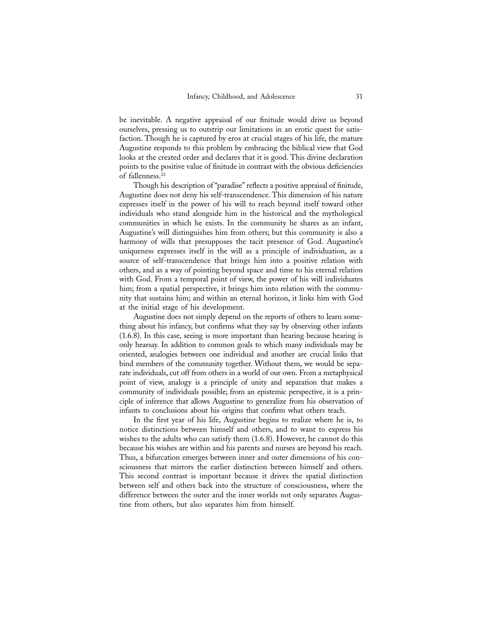be inevitable. A negative appraisal of our finitude would drive us beyond ourselves, pressing us to outstrip our limitations in an erotic quest for satisfaction. Though he is captured by eros at crucial stages of his life, the mature Augustine responds to this problem by embracing the biblical view that God looks at the created order and declares that it is good. This divine declaration points to the positive value of finitude in contrast with the obvious deficiencies of fallenness.<sup>22</sup>

Though his description of "paradise" reflects a positive appraisal of finitude, Augustine does not deny his self-transcendence. This dimension of his nature expresses itself in the power of his will to reach beyond itself toward other individuals who stand alongside him in the historical and the mythological communities in which he exists. In the community he shares as an infant, Augustine's will distinguishes him from others; but this community is also a harmony of wills that presupposes the tacit presence of God. Augustine's uniqueness expresses itself in the will as a principle of individuation, as a source of self-transcendence that brings him into a positive relation with others, and as a way of pointing beyond space and time to his eternal relation with God. From a temporal point of view, the power of his will individuates him; from a spatial perspective, it brings him into relation with the community that sustains him; and within an eternal horizon, it links him with God at the initial stage of his development.

Augustine does not simply depend on the reports of others to learn something about his infancy, but confirms what they say by observing other infants (1.6.8). In this case, seeing is more important than hearing because hearing is only hearsay. In addition to common goals to which many individuals may be oriented, analogies between one individual and another are crucial links that bind members of the community together. Without them, we would be separate individuals, cut off from others in a world of our own. From a metaphysical point of view, analogy is a principle of unity and separation that makes a community of individuals possible; from an epistemic perspective, it is a principle of inference that allows Augustine to generalize from his observation of infants to conclusions about his origins that confirm what others teach.

In the first year of his life, Augustine begins to realize where he is, to notice distinctions between himself and others, and to want to express his wishes to the adults who can satisfy them (1.6.8). However, he cannot do this because his wishes are within and his parents and nurses are beyond his reach. Thus, a bifurcation emerges between inner and outer dimensions of his consciousness that mirrors the earlier distinction between himself and others. This second contrast is important because it drives the spatial distinction between self and others back into the structure of consciousness, where the difference between the outer and the inner worlds not only separates Augustine from others, but also separates him from himself.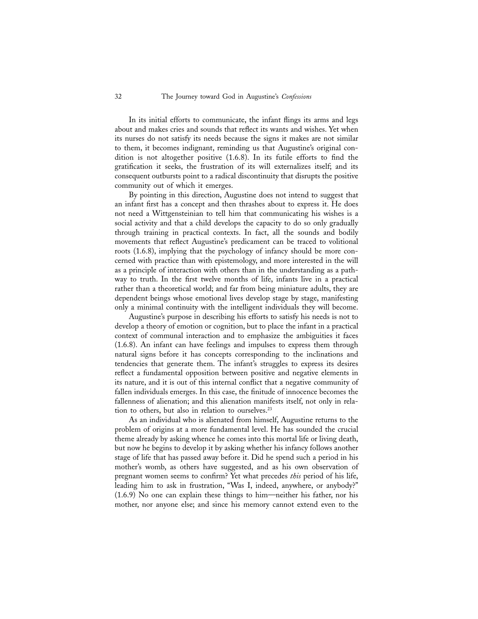In its initial efforts to communicate, the infant flings its arms and legs about and makes cries and sounds that reflect its wants and wishes. Yet when its nurses do not satisfy its needs because the signs it makes are not similar to them, it becomes indignant, reminding us that Augustine's original condition is not altogether positive (1.6.8). In its futile efforts to find the gratification it seeks, the frustration of its will externalizes itself; and its consequent outbursts point to a radical discontinuity that disrupts the positive community out of which it emerges.

By pointing in this direction, Augustine does not intend to suggest that an infant first has a concept and then thrashes about to express it. He does not need a Wittgensteinian to tell him that communicating his wishes is a social activity and that a child develops the capacity to do so only gradually through training in practical contexts. In fact, all the sounds and bodily movements that reflect Augustine's predicament can be traced to volitional roots (1.6.8), implying that the psychology of infancy should be more concerned with practice than with epistemology, and more interested in the will as a principle of interaction with others than in the understanding as a pathway to truth. In the first twelve months of life, infants live in a practical rather than a theoretical world; and far from being miniature adults, they are dependent beings whose emotional lives develop stage by stage, manifesting only a minimal continuity with the intelligent individuals they will become.

Augustine's purpose in describing his efforts to satisfy his needs is not to develop a theory of emotion or cognition, but to place the infant in a practical context of communal interaction and to emphasize the ambiguities it faces (1.6.8). An infant can have feelings and impulses to express them through natural signs before it has concepts corresponding to the inclinations and tendencies that generate them. The infant's struggles to express its desires reflect a fundamental opposition between positive and negative elements in its nature, and it is out of this internal conflict that a negative community of fallen individuals emerges. In this case, the finitude of innocence becomes the fallenness of alienation; and this alienation manifests itself, not only in relation to others, but also in relation to ourselves.<sup>23</sup>

As an individual who is alienated from himself, Augustine returns to the problem of origins at a more fundamental level. He has sounded the crucial theme already by asking whence he comes into this mortal life or living death, but now he begins to develop it by asking whether his infancy follows another stage of life that has passed away before it. Did he spend such a period in his mother's womb, as others have suggested, and as his own observation of pregnant women seems to confirm? Yet what precedes *this* period of his life, leading him to ask in frustration, "Was I, indeed, anywhere, or anybody?" (1.6.9) No one can explain these things to him—neither his father, nor his mother, nor anyone else; and since his memory cannot extend even to the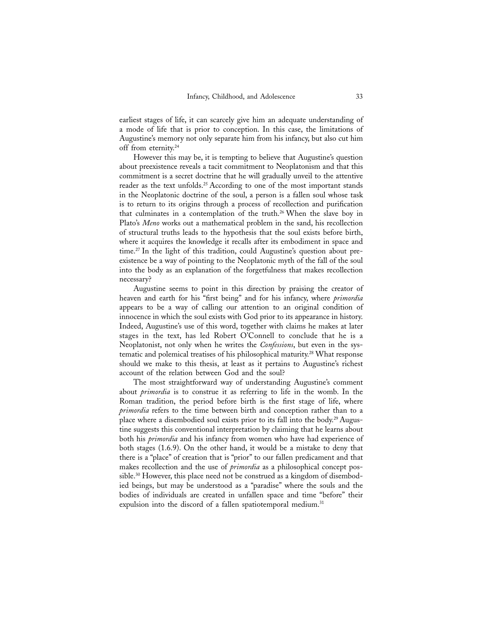earliest stages of life, it can scarcely give him an adequate understanding of a mode of life that is prior to conception. In this case, the limitations of Augustine's memory not only separate him from his infancy, but also cut him off from eternity.<sup>24</sup>

However this may be, it is tempting to believe that Augustine's question about preexistence reveals a tacit commitment to Neoplatonism and that this commitment is a secret doctrine that he will gradually unveil to the attentive reader as the text unfolds.<sup>25</sup> According to one of the most important stands in the Neoplatonic doctrine of the soul, a person is a fallen soul whose task is to return to its origins through a process of recollection and purification that culminates in a contemplation of the truth.<sup>26</sup> When the slave boy in Plato's *Meno* works out a mathematical problem in the sand, his recollection of structural truths leads to the hypothesis that the soul exists before birth, where it acquires the knowledge it recalls after its embodiment in space and time.27 In the light of this tradition, could Augustine's question about preexistence be a way of pointing to the Neoplatonic myth of the fall of the soul into the body as an explanation of the forgetfulness that makes recollection necessary?

Augustine seems to point in this direction by praising the creator of heaven and earth for his "first being" and for his infancy, where *primordia* appears to be a way of calling our attention to an original condition of innocence in which the soul exists with God prior to its appearance in history. Indeed, Augustine's use of this word, together with claims he makes at later stages in the text, has led Robert O'Connell to conclude that he is a Neoplatonist, not only when he writes the *Confessions*, but even in the systematic and polemical treatises of his philosophical maturity.28 What response should we make to this thesis, at least as it pertains to Augustine's richest account of the relation between God and the soul?

The most straightforward way of understanding Augustine's comment about *primordia* is to construe it as referring to life in the womb. In the Roman tradition, the period before birth is the first stage of life, where *primordia* refers to the time between birth and conception rather than to a place where a disembodied soul exists prior to its fall into the body.29 Augustine suggests this conventional interpretation by claiming that he learns about both his *primordia* and his infancy from women who have had experience of both stages (1.6.9). On the other hand, it would be a mistake to deny that there is a "place" of creation that is "prior" to our fallen predicament and that makes recollection and the use of *primordia* as a philosophical concept possible.30 However, this place need not be construed as a kingdom of disembodied beings, but may be understood as a "paradise" where the souls and the bodies of individuals are created in unfallen space and time "before" their expulsion into the discord of a fallen spatiotemporal medium.<sup>31</sup>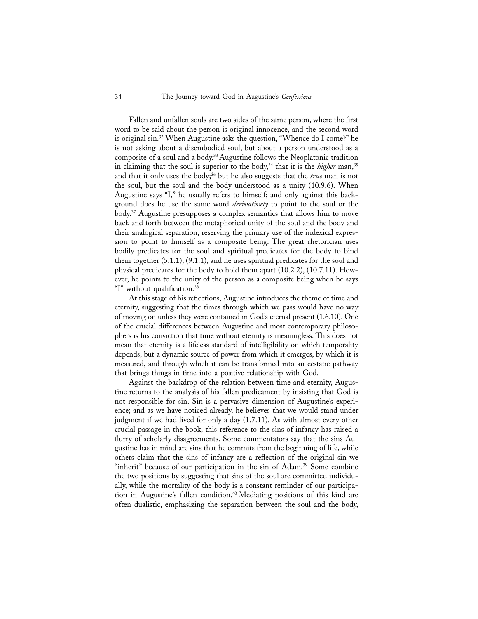Fallen and unfallen souls are two sides of the same person, where the first word to be said about the person is original innocence, and the second word is original sin.32 When Augustine asks the question, "Whence do I come?" he is not asking about a disembodied soul, but about a person understood as a composite of a soul and a body.33 Augustine follows the Neoplatonic tradition in claiming that the soul is superior to the body,<sup>34</sup> that it is the *higher* man,<sup>35</sup> and that it only uses the body;<sup>36</sup> but he also suggests that the *true* man is not the soul, but the soul and the body understood as a unity (10.9.6). When Augustine says "I," he usually refers to himself; and only against this background does he use the same word *derivatively* to point to the soul or the body.37 Augustine presupposes a complex semantics that allows him to move back and forth between the metaphorical unity of the soul and the body and their analogical separation, reserving the primary use of the indexical expression to point to himself as a composite being. The great rhetorician uses bodily predicates for the soul and spiritual predicates for the body to bind them together (5.1.1), (9.1.1), and he uses spiritual predicates for the soul and physical predicates for the body to hold them apart (10.2.2), (10.7.11). However, he points to the unity of the person as a composite being when he says "I" without qualification.38

At this stage of his reflections, Augustine introduces the theme of time and eternity, suggesting that the times through which we pass would have no way of moving on unless they were contained in God's eternal present (1.6.10). One of the crucial differences between Augustine and most contemporary philosophers is his conviction that time without eternity is meaningless. This does not mean that eternity is a lifeless standard of intelligibility on which temporality depends, but a dynamic source of power from which it emerges, by which it is measured, and through which it can be transformed into an ecstatic pathway that brings things in time into a positive relationship with God.

Against the backdrop of the relation between time and eternity, Augustine returns to the analysis of his fallen predicament by insisting that God is not responsible for sin. Sin is a pervasive dimension of Augustine's experience; and as we have noticed already, he believes that we would stand under judgment if we had lived for only a day (1.7.11). As with almost every other crucial passage in the book, this reference to the sins of infancy has raised a flurry of scholarly disagreements. Some commentators say that the sins Augustine has in mind are sins that he commits from the beginning of life, while others claim that the sins of infancy are a reflection of the original sin we "inherit" because of our participation in the sin of Adam.<sup>39</sup> Some combine the two positions by suggesting that sins of the soul are committed individually, while the mortality of the body is a constant reminder of our participation in Augustine's fallen condition.<sup>40</sup> Mediating positions of this kind are often dualistic, emphasizing the separation between the soul and the body,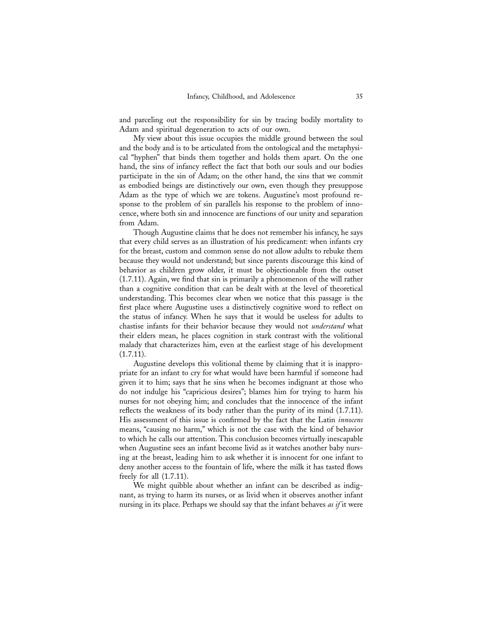and parceling out the responsibility for sin by tracing bodily mortality to Adam and spiritual degeneration to acts of our own.

My view about this issue occupies the middle ground between the soul and the body and is to be articulated from the ontological and the metaphysical "hyphen" that binds them together and holds them apart. On the one hand, the sins of infancy reflect the fact that both our souls and our bodies participate in the sin of Adam; on the other hand, the sins that we commit as embodied beings are distinctively our own, even though they presuppose Adam as the type of which we are tokens. Augustine's most profound response to the problem of sin parallels his response to the problem of innocence, where both sin and innocence are functions of our unity and separation from Adam.

Though Augustine claims that he does not remember his infancy, he says that every child serves as an illustration of his predicament: when infants cry for the breast, custom and common sense do not allow adults to rebuke them because they would not understand; but since parents discourage this kind of behavior as children grow older, it must be objectionable from the outset (1.7.11). Again, we find that sin is primarily a phenomenon of the will rather than a cognitive condition that can be dealt with at the level of theoretical understanding. This becomes clear when we notice that this passage is the first place where Augustine uses a distinctively cognitive word to reflect on the status of infancy. When he says that it would be useless for adults to chastise infants for their behavior because they would not *understand* what their elders mean, he places cognition in stark contrast with the volitional malady that characterizes him, even at the earliest stage of his development  $(1.7.11).$ 

Augustine develops this volitional theme by claiming that it is inappropriate for an infant to cry for what would have been harmful if someone had given it to him; says that he sins when he becomes indignant at those who do not indulge his "capricious desires"; blames him for trying to harm his nurses for not obeying him; and concludes that the innocence of the infant reflects the weakness of its body rather than the purity of its mind (1.7.11). His assessment of this issue is confirmed by the fact that the Latin *innocens* means, "causing no harm," which is not the case with the kind of behavior to which he calls our attention. This conclusion becomes virtually inescapable when Augustine sees an infant become livid as it watches another baby nursing at the breast, leading him to ask whether it is innocent for one infant to deny another access to the fountain of life, where the milk it has tasted flows freely for all (1.7.11).

We might quibble about whether an infant can be described as indignant, as trying to harm its nurses, or as livid when it observes another infant nursing in its place. Perhaps we should say that the infant behaves *as if* it were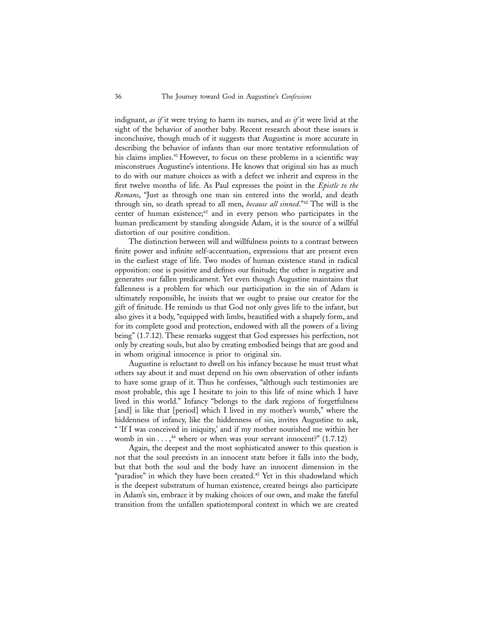indignant, *as if* it were trying to harm its nurses, and *as if* it were livid at the sight of the behavior of another baby. Recent research about these issues is inconclusive, though much of it suggests that Augustine is more accurate in describing the behavior of infants than our more tentative reformulation of his claims implies.<sup>41</sup> However, to focus on these problems in a scientific way misconstrues Augustine's intentions. He knows that original sin has as much to do with our mature choices as with a defect we inherit and express in the first twelve months of life. As Paul expresses the point in the *Epistle to the Romans*, "Just as through one man sin entered into the world, and death through sin, so death spread to all men, *because all sinned*."42 The will is the center of human existence;<sup>43</sup> and in every person who participates in the human predicament by standing alongside Adam, it is the source of a willful distortion of our positive condition.

The distinction between will and willfulness points to a contrast between finite power and infinite self-accentuation, expressions that are present even in the earliest stage of life. Two modes of human existence stand in radical opposition: one is positive and defines our finitude; the other is negative and generates our fallen predicament. Yet even though Augustine maintains that fallenness is a problem for which our participation in the sin of Adam is ultimately responsible, he insists that we ought to praise our creator for the gift of finitude. He reminds us that God not only gives life to the infant, but also gives it a body, "equipped with limbs, beautified with a shapely form, and for its complete good and protection, endowed with all the powers of a living being" (1.7.12). These remarks suggest that God expresses his perfection, not only by creating souls, but also by creating embodied beings that are good and in whom original innocence is prior to original sin.

Augustine is reluctant to dwell on his infancy because he must trust what others say about it and must depend on his own observation of other infants to have some grasp of it. Thus he confesses, "although such testimonies are most probable, this age I hesitate to join to this life of mine which I have lived in this world." Infancy "belongs to the dark regions of forgetfulness [and] is like that [period] which I lived in my mother's womb," where the hiddenness of infancy, like the hiddenness of sin, invites Augustine to ask, " 'If I was conceived in iniquity,' and if my mother nourished me within her womb in  $\sin \dots$ ,<sup>44</sup> where or when was your servant innocent?" (1.7.12)

Again, the deepest and the most sophisticated answer to this question is not that the soul preexists in an innocent state before it falls into the body, but that both the soul and the body have an innocent dimension in the "paradise" in which they have been created.<sup>45</sup> Yet in this shadowland which is the deepest substratum of human existence, created beings also participate in Adam's sin, embrace it by making choices of our own, and make the fateful transition from the unfallen spatiotemporal context in which we are created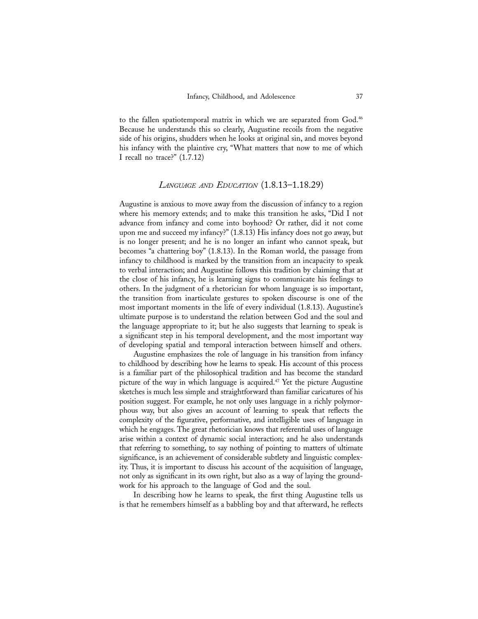to the fallen spatiotemporal matrix in which we are separated from God.<sup>46</sup> Because he understands this so clearly, Augustine recoils from the negative side of his origins, shudders when he looks at original sin, and moves beyond his infancy with the plaintive cry, "What matters that now to me of which I recall no trace?" (1.7.12)

## *LANGUAGE AND EDUCATION* (1.8.13–1.18.29)

Augustine is anxious to move away from the discussion of infancy to a region where his memory extends; and to make this transition he asks, "Did I not advance from infancy and come into boyhood? Or rather, did it not come upon me and succeed my infancy?" (1.8.13) His infancy does not go away, but is no longer present; and he is no longer an infant who cannot speak, but becomes "a chattering boy" (1.8.13). In the Roman world, the passage from infancy to childhood is marked by the transition from an incapacity to speak to verbal interaction; and Augustine follows this tradition by claiming that at the close of his infancy, he is learning signs to communicate his feelings to others. In the judgment of a rhetorician for whom language is so important, the transition from inarticulate gestures to spoken discourse is one of the most important moments in the life of every individual (1.8.13). Augustine's ultimate purpose is to understand the relation between God and the soul and the language appropriate to it; but he also suggests that learning to speak is a significant step in his temporal development, and the most important way of developing spatial and temporal interaction between himself and others.

Augustine emphasizes the role of language in his transition from infancy to childhood by describing how he learns to speak. His account of this process is a familiar part of the philosophical tradition and has become the standard picture of the way in which language is acquired.<sup>47</sup> Yet the picture Augustine sketches is much less simple and straightforward than familiar caricatures of his position suggest. For example, he not only uses language in a richly polymorphous way, but also gives an account of learning to speak that reflects the complexity of the figurative, performative, and intelligible uses of language in which he engages. The great rhetorician knows that referential uses of language arise within a context of dynamic social interaction; and he also understands that referring to something, to say nothing of pointing to matters of ultimate significance, is an achievement of considerable subtlety and linguistic complexity. Thus, it is important to discuss his account of the acquisition of language, not only as significant in its own right, but also as a way of laying the groundwork for his approach to the language of God and the soul.

In describing how he learns to speak, the first thing Augustine tells us is that he remembers himself as a babbling boy and that afterward, he reflects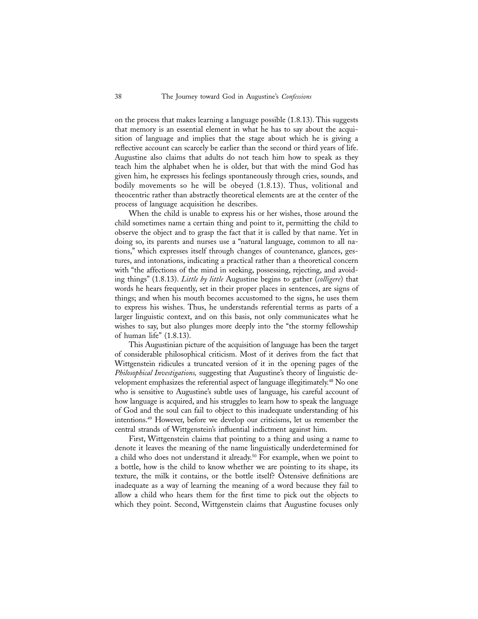on the process that makes learning a language possible (1.8.13). This suggests that memory is an essential element in what he has to say about the acquisition of language and implies that the stage about which he is giving a reflective account can scarcely be earlier than the second or third years of life. Augustine also claims that adults do not teach him how to speak as they teach him the alphabet when he is older, but that with the mind God has given him, he expresses his feelings spontaneously through cries, sounds, and bodily movements so he will be obeyed (1.8.13). Thus, volitional and theocentric rather than abstractly theoretical elements are at the center of the process of language acquisition he describes.

When the child is unable to express his or her wishes, those around the child sometimes name a certain thing and point to it, permitting the child to observe the object and to grasp the fact that it is called by that name. Yet in doing so, its parents and nurses use a "natural language, common to all nations," which expresses itself through changes of countenance, glances, gestures, and intonations, indicating a practical rather than a theoretical concern with "the affections of the mind in seeking, possessing, rejecting, and avoiding things" (1.8.13). *Little by little* Augustine begins to gather (*colligere*) that words he hears frequently, set in their proper places in sentences, are signs of things; and when his mouth becomes accustomed to the signs, he uses them to express his wishes. Thus, he understands referential terms as parts of a larger linguistic context, and on this basis, not only communicates what he wishes to say, but also plunges more deeply into the "the stormy fellowship of human life" (1.8.13).

This Augustinian picture of the acquisition of language has been the target of considerable philosophical criticism. Most of it derives from the fact that Wittgenstein ridicules a truncated version of it in the opening pages of the *Philosophical Investigations,* suggesting that Augustine's theory of linguistic development emphasizes the referential aspect of language illegitimately.<sup>48</sup> No one who is sensitive to Augustine's subtle uses of language, his careful account of how language is acquired, and his struggles to learn how to speak the language of God and the soul can fail to object to this inadequate understanding of his intentions.49 However, before we develop our criticisms, let us remember the central strands of Wittgenstein's influential indictment against him.

First, Wittgenstein claims that pointing to a thing and using a name to denote it leaves the meaning of the name linguistically underdetermined for a child who does not understand it already.50 For example, when we point to a bottle, how is the child to know whether we are pointing to its shape, its texture, the milk it contains, or the bottle itself? Ostensive definitions are inadequate as a way of learning the meaning of a word because they fail to allow a child who hears them for the first time to pick out the objects to which they point. Second, Wittgenstein claims that Augustine focuses only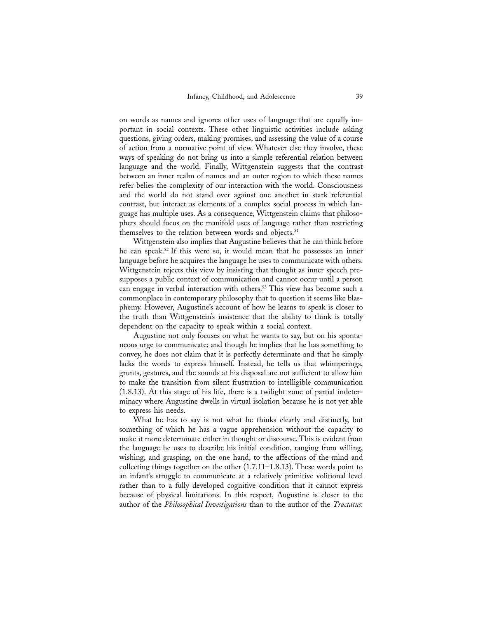on words as names and ignores other uses of language that are equally important in social contexts. These other linguistic activities include asking questions, giving orders, making promises, and assessing the value of a course of action from a normative point of view. Whatever else they involve, these ways of speaking do not bring us into a simple referential relation between language and the world. Finally, Wittgenstein suggests that the contrast between an inner realm of names and an outer region to which these names refer belies the complexity of our interaction with the world. Consciousness and the world do not stand over against one another in stark referential contrast, but interact as elements of a complex social process in which language has multiple uses. As a consequence, Wittgenstein claims that philosophers should focus on the manifold uses of language rather than restricting themselves to the relation between words and objects.<sup>51</sup>

Wittgenstein also implies that Augustine believes that he can think before he can speak.52 If this were so, it would mean that he possesses an inner language before he acquires the language he uses to communicate with others. Wittgenstein rejects this view by insisting that thought as inner speech presupposes a public context of communication and cannot occur until a person can engage in verbal interaction with others.<sup>53</sup> This view has become such a commonplace in contemporary philosophy that to question it seems like blasphemy. However, Augustine's account of how he learns to speak is closer to the truth than Wittgenstein's insistence that the ability to think is totally dependent on the capacity to speak within a social context.

Augustine not only focuses on what he wants to say, but on his spontaneous urge to communicate; and though he implies that he has something to convey, he does not claim that it is perfectly determinate and that he simply lacks the words to express himself. Instead, he tells us that whimperings, grunts, gestures, and the sounds at his disposal are not sufficient to allow him to make the transition from silent frustration to intelligible communication (1.8.13). At this stage of his life, there is a twilight zone of partial indeterminacy where Augustine dwells in virtual isolation because he is not yet able to express his needs.

What he has to say is not what he thinks clearly and distinctly, but something of which he has a vague apprehension without the capacity to make it more determinate either in thought or discourse. This is evident from the language he uses to describe his initial condition, ranging from willing, wishing, and grasping, on the one hand, to the affections of the mind and collecting things together on the other (1.7.11–1.8.13). These words point to an infant's struggle to communicate at a relatively primitive volitional level rather than to a fully developed cognitive condition that it cannot express because of physical limitations. In this respect, Augustine is closer to the author of the *Philosophical Investigations* than to the author of the *Tractatus*: